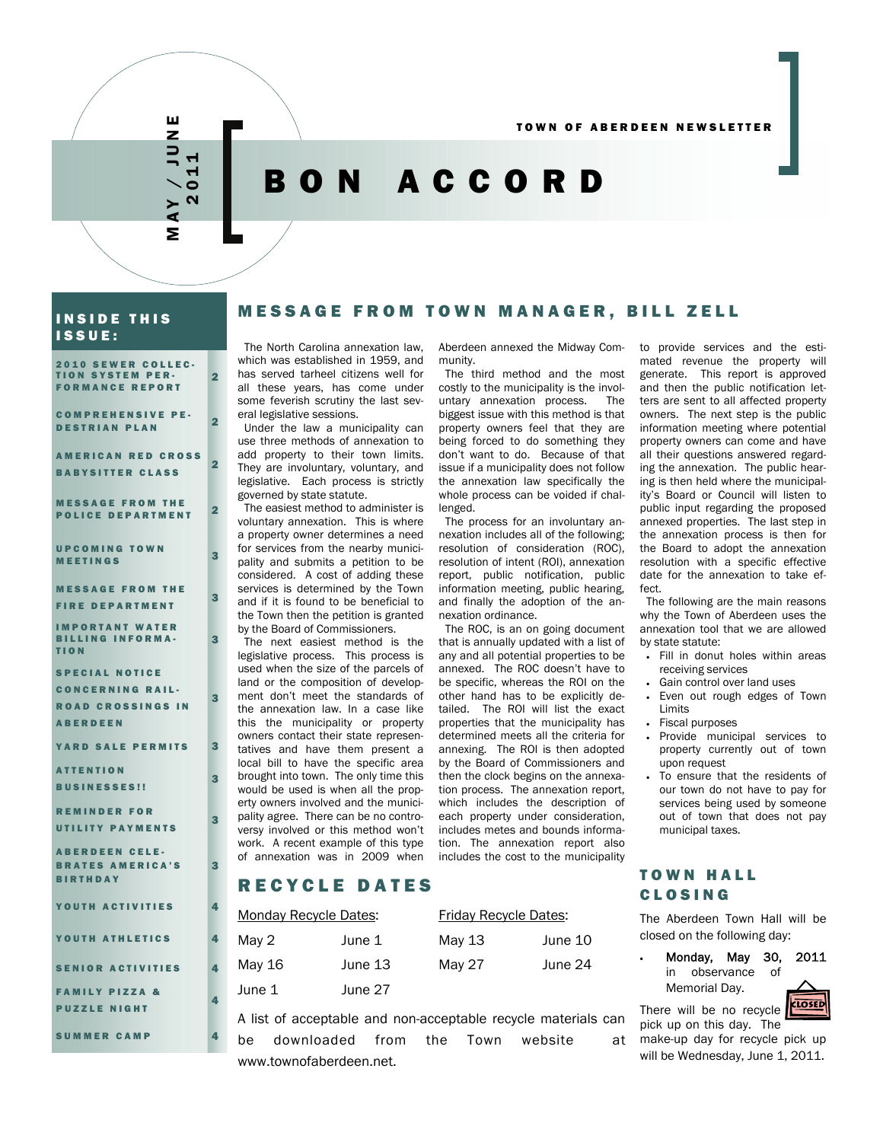

ш

2

 $\overline{\mathbf{2}}$ 

3

3

3

3

3

3

4

# BON ACCORD

#### INSIDE THIS ISSUE:

2010 SEWER COLLEC-TION SYSTEM PER-FORMANCE REPORT

COMPREHENSIVE PE-**DESTRIAN PLAN** 2

AMERICAN RED CROSS BABYSITTER CLASS

MESSAGE FROM THE **POLICE DEPARTMENT** 2

UPCOMING TOWN **SPECTINGS** 3

MESSAGE FROM THE FIRE DEPARTMENT

IMPORTANT WATER BILLING INFORMA-TION

SPECIAL NOTICE CONCERNING RAIL-ROAD CROSSINGS IN ABERDEEN

YARD SALE PERMITS 3

ATTENTION BUSINESSES!!

REMINDER FOR UTILITY PAYMENTS

ABERDEEN CELE-BRATES AMERICA'S BIRTHDAY

YOUTH ACTIVITIES 4

YOUTH ATHLETICS 4

SENIOR ACTIVITIES 4

FAMILY PIZZA & PUZZLE NIGHT

SUMMER CAMP

## MESSAGE FROM TOWN MA NAGER, BILL ZELL

The North Carolina annexation law, which was established in 1959, and has served tarheel citizens well for all these years, has come under some feverish scrutiny the last several legislative sessions.

Under the law a municipality can use three methods of annexation to add property to their town limits. They are involuntary, voluntary, and legislative. Each process is strictly governed by state statute.

The easiest method to administer is voluntary annexation. This is where a property owner determines a need for services from the nearby municipality and submits a petition to be considered. A cost of adding these services is determined by the Town and if it is found to be beneficial to the Town then the petition is granted by the Board of Commissioners.

The next easiest method is the legislative process. This process is used when the size of the parcels of land or the composition of development don't meet the standards of the annexation law. In a case like this the municipality or property owners contact their state representatives and have them present a local bill to have the specific area brought into town. The only time this would be used is when all the property owners involved and the municipality agree. There can be no controversy involved or this method won't work. A recent example of this type of annexation was in 2009 when

Aberdeen annexed the Midway Community.

The third method and the most costly to the municipality is the involuntary annexation process. The untary annexation process. biggest issue with this method is that property owners feel that they are being forced to do something they don't want to do. Because of that issue if a municipality does not follow the annexation law specifically the whole process can be voided if challenged.

The process for an involuntary annexation includes all of the following; resolution of consideration (ROC), resolution of intent (ROI), annexation report, public notification, public information meeting, public hearing, and finally the adoption of the annexation ordinance.

The ROC, is an on going document that is annually updated with a list of any and all potential properties to be annexed. The ROC doesn't have to be specific, whereas the ROI on the other hand has to be explicitly detailed. The ROI will list the exact properties that the municipality has determined meets all the criteria for annexing. The ROI is then adopted by the Board of Commissioners and then the clock begins on the annexation process. The annexation report, which includes the description of each property under consideration, includes metes and bounds information. The annexation report also includes the cost to the municipality

to provide services and the estimated revenue the property will generate. This report is approved and then the public notification letters are sent to all affected property owners. The next step is the public information meeting where potential property owners can come and have all their questions answered regarding the annexation. The public hearing is then held where the municipality's Board or Council will listen to public input regarding the proposed annexed properties. The last step in the annexation process is then for the Board to adopt the annexation resolution with a specific effective date for the annexation to take effect.

The following are the main reasons why the Town of Aberdeen uses the annexation tool that we are allowed by state statute:

- Fill in donut holes within areas receiving services
- Gain control over land uses
- Even out rough edges of Town Limits
- Fiscal purposes
- Provide municipal services to property currently out of town upon request
- To ensure that the residents of our town do not have to pay for services being used by someone out of town that does not pay municipal taxes.

## TOWN HALL CLOSING

The Aberdeen Town Hall will be closed on the following day:

• Monday, May 30, 2011 in observance of Memorial Day.

CLOSED There will be no recycle

pick up on this day. The make-up day for recycle pick up will be Wednesday, June 1, 2011.

## RECYCLE DATES

www.townofaberdeen.net.

| <b>Monday Recycle Dates:</b> |         | Friday Recycle Dates: |         |
|------------------------------|---------|-----------------------|---------|
| May 2                        | June 1  | May 13                | June 10 |
| May 16                       | June 13 | May 27                | June 24 |
| June 1                       | June 27 |                       |         |

A list of acceptable and non-acceptable recycle materials can be downloaded from the Town website at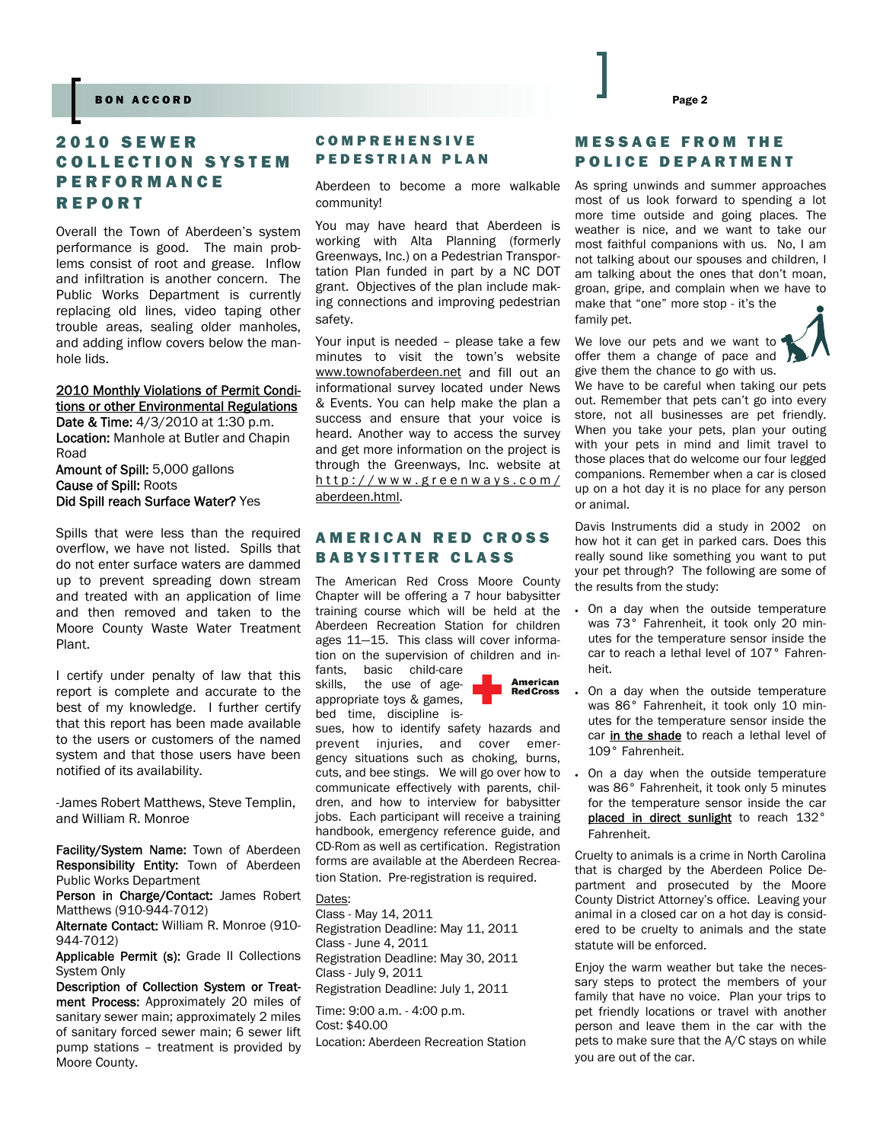#### Page 2 BON ACCORD Page 2

## 2010 SEWER COLLECTION SYSTEM PERFORMANCE REPORT

Overall the Town of Aberdeen's system performance is good. The main problems consist of root and grease. Inflow and infiltration is another concern. The Public Works Department is currently replacing old lines, video taping other trouble areas, sealing older manholes, and adding inflow covers below the manhole lids.

#### 2010 Monthly Violations of Permit Conditions or other Environmental Regulations

**Date & Time:** 4/3/2010 at 1:30 p.m. **Location:** Manhole at Butler and Chapin Road

Amount of Spill: 5,000 gallons Cause of Spill: Roots Did Spill reach Surface Water? Yes

Spills that were less than the required overflow, we have not listed. Spills that do not enter surface waters are dammed up to prevent spreading down stream and treated with an application of lime and then removed and taken to the Moore County Waste Water Treatment Plant.

I certify under penalty of law that this report is complete and accurate to the best of my knowledge. I further certify that this report has been made available to the users or customers of the named system and that those users have been notified of its availability.

-James Robert Matthews, Steve Templin, and William R. Monroe

Facility/System Name: Town of Aberdeen Responsibility Entity: Town of Aberdeen Public Works Department

Person in Charge/Contact: James Robert Matthews (910-944-7012)

Alternate Contact: William R. Monroe (910-944-7012)

Applicable Permit (s): Grade II Collections System Only

Description of Collection System or Treatment Process: Approximately 20 miles of sanitary sewer main; approximately 2 miles of sanitary forced sewer main; 6 sewer lift pump stations – treatment is provided by Moore County.

## **COMPREHENSIVE** PEDESTRIAN PLAN

Aberdeen to become a more walkable community!

You may have heard that Aberdeen is working with Alta Planning (formerly Greenways, Inc.) on a Pedestrian Transportation Plan funded in part by a NC DOT grant. Objectives of the plan include making connections and improving pedestrian safety.

Your input is needed – please take a few minutes to visit the town's website www.townofaberdeen.net and fill out an informational survey located under News & Events. You can help make the plan a success and ensure that your voice is heard. Another way to access the survey and get more information on the project is through the Greenways, Inc. website at http://www.greenways.com/ aberdeen.html.

## AMERICAN RED CROSS BABYSITTER CLASS

The American Red Cross Moore County Chapter will be offering a 7 hour babysitter training course which will be held at the Aberdeen Recreation Station for children ages 11—15. This class will cover information on the supervision of children and infants, basic child-care

skills, the use of ageappropriate toys & games, bed time, discipline is-



sues, how to identify safety hazards and prevent injuries, and cover emergency situations such as choking, burns, cuts, and bee stings. We will go over how to communicate effectively with parents, children, and how to interview for babysitter jobs. Each participant will receive a training handbook, emergency reference guide, and CD-Rom as well as certification. Registration forms are available at the Aberdeen Recreation Station. Pre-registration is required.

Dates:

Class - May 14, 2011 Registration Deadline: May 11, 2011 Class - June 4, 2011 Registration Deadline: May 30, 2011 Class - July 9, 2011 Registration Deadline: July 1, 2011

Time: 9:00 a.m. - 4:00 p.m. Cost: \$40.00 Location: Aberdeen Recreation Station

## MESSAGE FROM THE POLICE DEPARTMENT

As spring unwinds and summer approaches most of us look forward to spending a lot more time outside and going places. The weather is nice, and we want to take our most faithful companions with us. No, I am not talking about our spouses and children, I am talking about the ones that don't moan, groan, gripe, and complain when we have to make that "one" more stop - it's the

family pet.

We love our pets and we want to offer them a change of pace and give them the chance to go with us.



We have to be careful when taking our pets out. Remember that pets can't go into every store, not all businesses are pet friendly. When you take your pets, plan your outing with your pets in mind and limit travel to those places that do welcome our four legged companions. Remember when a car is closed up on a hot day it is no place for any person or animal.

Davis Instruments did a study in 2002 on how hot it can get in parked cars. Does this really sound like something you want to put your pet through? The following are some of the results from the study:

- On a day when the outside temperature was 73° Fahrenheit, it took only 20 minutes for the temperature sensor inside the car to reach a lethal level of 107° Fahrenheit.
- On a day when the outside temperature was 86° Fahrenheit, it took only 10 minutes for the temperature sensor inside the car in the shade to reach a lethal level of 109° Fahrenheit.
- On a day when the outside temperature was 86° Fahrenheit, it took only 5 minutes for the temperature sensor inside the car placed in direct sunlight to reach 132° Fahrenheit.

Cruelty to animals is a crime in North Carolina that is charged by the Aberdeen Police Department and prosecuted by the Moore County District Attorney's office. Leaving your animal in a closed car on a hot day is considered to be cruelty to animals and the state statute will be enforced.

Enjoy the warm weather but take the necessary steps to protect the members of your family that have no voice. Plan your trips to pet friendly locations or travel with another person and leave them in the car with the pets to make sure that the A/C stays on while you are out of the car.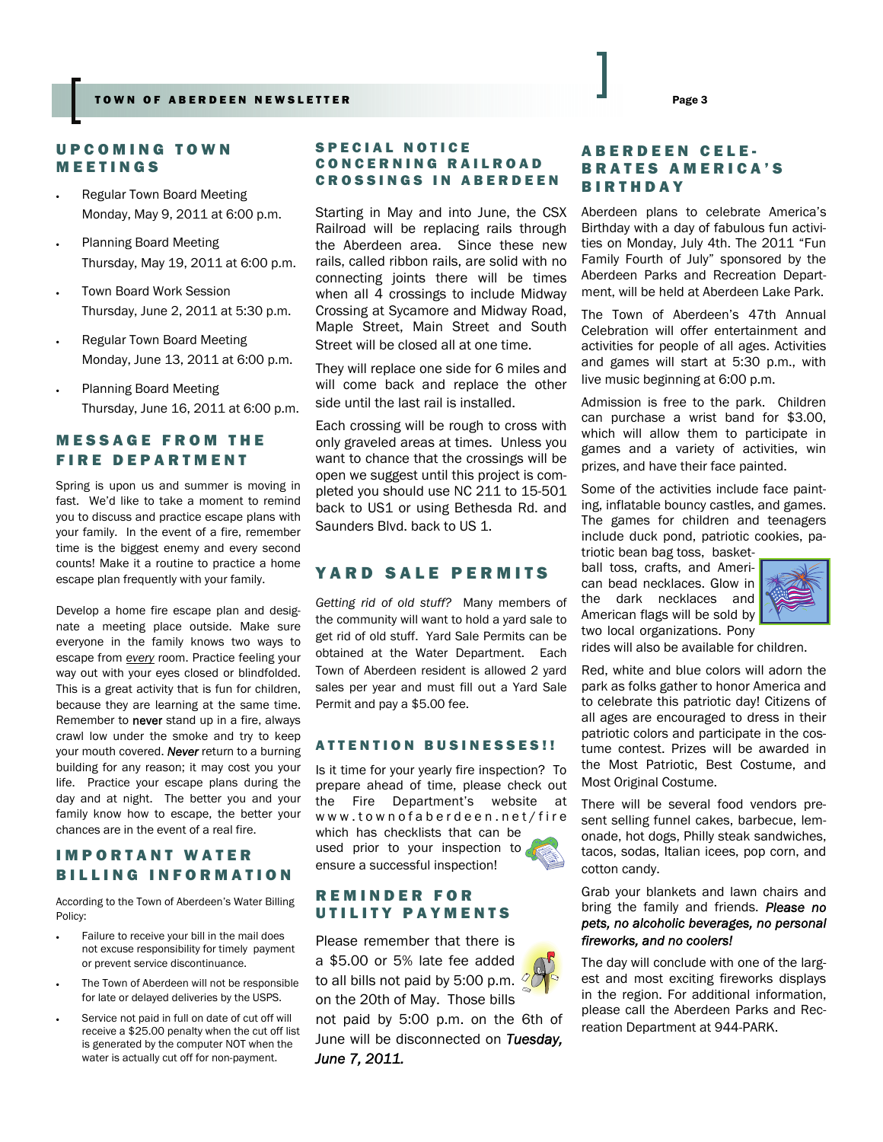## UPCOMING TOWN MEETINGS

- Regular Town Board Meeting Monday, May 9, 2011 at 6:00 p.m.
- Planning Board Meeting Thursday, May 19, 2011 at 6:00 p.m.
- Town Board Work Session Thursday, June 2, 2011 at 5:30 p.m.
- Regular Town Board Meeting Monday, June 13, 2011 at 6:00 p.m.
- Planning Board Meeting Thursday, June 16, 2011 at 6:00 p.m.

## MESSAGE FROM THE FIRE DEPARTMENT

Spring is upon us and summer is moving in fast. We'd like to take a moment to remind you to discuss and practice escape plans with your family. In the event of a fire, remember time is the biggest enemy and every second counts! Make it a routine to practice a home escape plan frequently with your family.

Develop a home fire escape plan and designate a meeting place outside. Make sure everyone in the family knows two ways to escape from *every* room. Practice feeling your way out with your eyes closed or blindfolded. This is a great activity that is fun for children, because they are learning at the same time. Remember to never stand up in a fire, always crawl low under the smoke and try to keep your mouth covered. *Never* return to a burning building for any reason; it may cost you your life. Practice your escape plans during the day and at night. The better you and your family know how to escape, the better your chances are in the event of a real fire.

## IMPORTANT WATER BILLING INFORMATION

According to the Town of Aberdeen's Water Billing Policy:

- Failure to receive your bill in the mail does not excuse responsibility for timely payment or prevent service discontinuance.
- The Town of Aberdeen will not be responsible for late or delayed deliveries by the USPS.
- Service not paid in full on date of cut off will receive a \$25.00 penalty when the cut off list is generated by the computer NOT when the water is actually cut off for non-payment.

#### SPECIAL NOTICE CONCERNING RAILROAD CROSSINGS IN ABERDEEN

Starting in May and into June, the CSX Railroad will be replacing rails through the Aberdeen area. Since these new rails, called ribbon rails, are solid with no connecting joints there will be times when all 4 crossings to include Midway Crossing at Sycamore and Midway Road, Maple Street, Main Street and South Street will be closed all at one time.

They will replace one side for 6 miles and will come back and replace the other side until the last rail is installed.

Each crossing will be rough to cross with only graveled areas at times. Unless you want to chance that the crossings will be open we suggest until this project is completed you should use NC 211 to 15-501 back to US1 or using Bethesda Rd. and Saunders Blvd. back to US 1.

## YARD SALE PERMITS

*Getting rid of old stuff?* Many members of the community will want to hold a yard sale to get rid of old stuff. Yard Sale Permits can be obtained at the Water Department. Each Town of Aberdeen resident is allowed 2 yard sales per year and must fill out a Yard Sale Permit and pay a \$5.00 fee.

#### ATTENTION BUSINESSES!!

Is it time for your yearly fire inspection? To prepare ahead of time, please check out the Fire Department's website at www.townofaberdeen.net/fire which has checklists that can be used prior to your inspection to ensure a successful inspection!



## REMINDER FOR UTILITY PAYMENTS

Please remember that there is a \$5.00 or 5% late fee added to all bills not paid by 5:00 p.m.  $\frac{1}{2}$ on the 20th of May. Those bills not paid by 5:00 p.m. on the 6th of June will be disconnected on *Tuesday, June 7, 2011.*

## ABERDEEN CELE-BRATES AMERICA'S BIRTHDAY

Aberdeen plans to celebrate America's Birthday with a day of fabulous fun activities on Monday, July 4th. The 2011 "Fun Family Fourth of July" sponsored by the Aberdeen Parks and Recreation Department, will be held at Aberdeen Lake Park.

The Town of Aberdeen's 47th Annual Celebration will offer entertainment and activities for people of all ages. Activities and games will start at 5:30 p.m., with live music beginning at 6:00 p.m.

Admission is free to the park. Children can purchase a wrist band for \$3.00, which will allow them to participate in games and a variety of activities, win prizes, and have their face painted.

Some of the activities include face painting, inflatable bouncy castles, and games. The games for children and teenagers include duck pond, patriotic cookies, pa-

triotic bean bag toss, basketball toss, crafts, and American bead necklaces. Glow in the dark necklaces and American flags will be sold by two local organizations. Pony



rides will also be available for children.

Red, white and blue colors will adorn the park as folks gather to honor America and to celebrate this patriotic day! Citizens of all ages are encouraged to dress in their patriotic colors and participate in the costume contest. Prizes will be awarded in the Most Patriotic, Best Costume, and Most Original Costume.

There will be several food vendors present selling funnel cakes, barbecue, lemonade, hot dogs, Philly steak sandwiches, tacos, sodas, Italian icees, pop corn, and cotton candy.

#### Grab your blankets and lawn chairs and bring the family and friends. *Please no pets, no alcoholic beverages, no personal fireworks, and no coolers!*

The day will conclude with one of the largest and most exciting fireworks displays in the region. For additional information, please call the Aberdeen Parks and Recreation Department at 944-PARK.